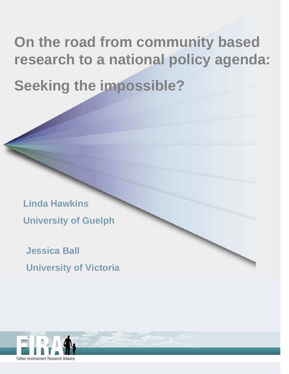## **On the road from community based research to a national policy agenda:**

**Seeking the impossible?** 

**Linda Hawkins University of Guelph** 

**Jessica Ball University of Victoria** 

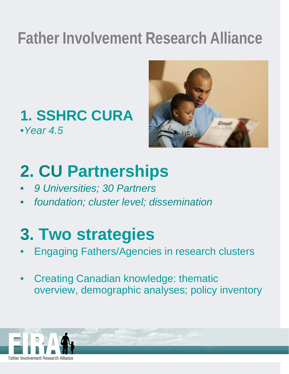## **Father Involvement Research Alliance**

### **1. SSHRC CURA** •*Year 4.5*



## **2. CU Partnerships**

- *9 Universities; 30 Partners*
- *foundation; cluster level; dissemination*

## **3. Two strategies**

- Engaging Fathers/Agencies in research clusters
- Creating Canadian knowledge: thematic overview, demographic analyses; policy inventory

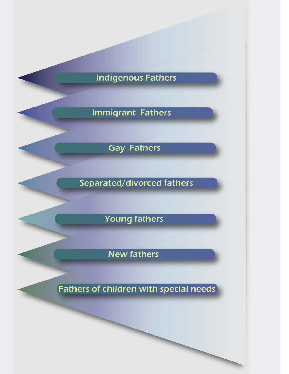#### **Indigenous Fathers**

#### **Immigrant Fathers**

**Gay Fathers** 

Separated/divorced fathers

**Young fathers** 

**New fathers** 

**Fathers of children with special needs**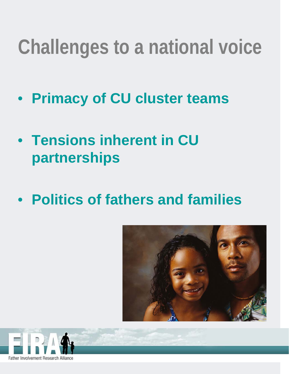## **Challenges to a national voice**

- **Primacy of CU cluster teams**
- **Tensions inherent in CU partnerships**
- **Politics of fathers and families**



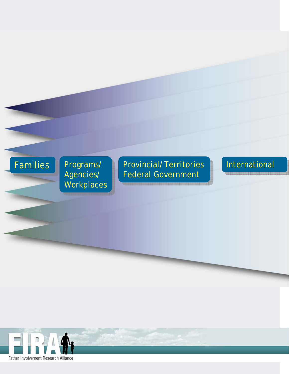Agencies/ vorkplaces Programs/ Agencies/ **Workplaces** 

#### Families Programs/ Provincial/Territories rograms/ Provincial/Territories<br>\gencies/ Federal Government

#### **International**

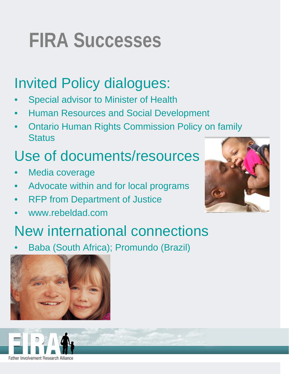### $\frac{1}{2}$ **FIRA Successes**

### Invited Policy dialogues:

- Special advisor to Minister of Health
- Human Resources and Social Development
- Ontario Human Rights Commission Policy on family **Status**

### Use of documents/resources

- Media coverage
- Advocate within and for local programs
- **RFP from Department of Justice**
- www.rebeldad.com



### New international connections

• Baba (South Africa); Promundo (Brazil)



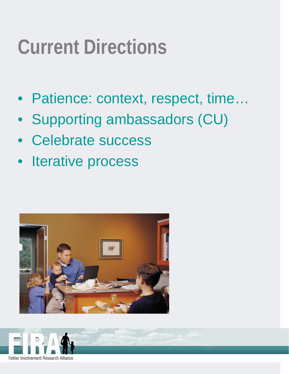## **Current Directions**

- Patience: context, respect, time…
- Supporting ambassadors (CU)
- Celebrate success
- Iterative process



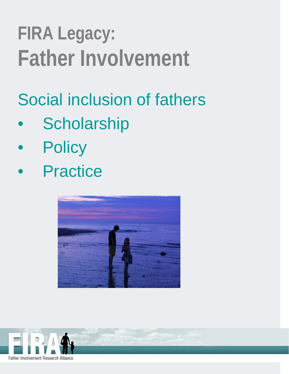## **FIRA Legacy: Father Involvement**

Social inclusion of fathers

- **Scholarship**
- **Policy**
- **Practice**



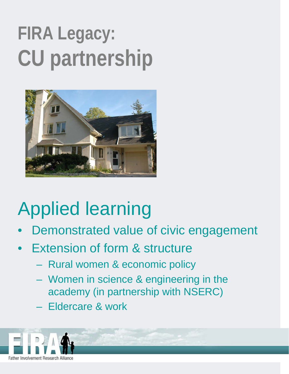# **FIRA Legacy: CU partnership**



## Applied learning

- Demonstrated value of civic engagement
- **Extension of form & structure** 
	- Rural women & economic policy
	- Women in science & engineering in the academy (in partnership with NSERC)
	- Eldercare & work